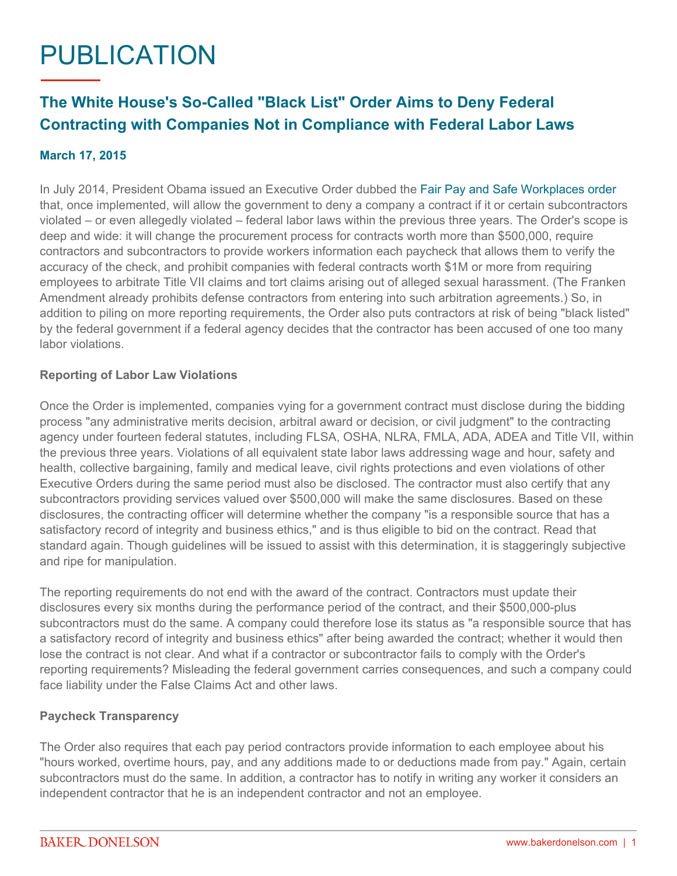# PUBLICATION

# **The White House's So-Called "Black List" Order Aims to Deny Federal Contracting with Companies Not in Compliance with Federal Labor Laws**

## **March 17, 2015**

In July 2014, President Obama issued an Executive Order dubbed the [Fair Pay and Safe Workplaces order](https://www.whitehouse.gov/the-press-office/2014/07/31/executive-order-fair-pay-and-safe-workplaces) that, once implemented, will allow the government to deny a company a contract if it or certain subcontractors violated – or even allegedly violated – federal labor laws within the previous three years. The Order's scope is deep and wide: it will change the procurement process for contracts worth more than \$500,000, require contractors and subcontractors to provide workers information each paycheck that allows them to verify the accuracy of the check, and prohibit companies with federal contracts worth \$1M or more from requiring employees to arbitrate Title VII claims and tort claims arising out of alleged sexual harassment. (The Franken Amendment already prohibits defense contractors from entering into such arbitration agreements.) So, in addition to piling on more reporting requirements, the Order also puts contractors at risk of being "black listed" by the federal government if a federal agency decides that the contractor has been accused of one too many labor violations.

#### **Reporting of Labor Law Violations**

Once the Order is implemented, companies vying for a government contract must disclose during the bidding process "any administrative merits decision, arbitral award or decision, or civil judgment" to the contracting agency under fourteen federal statutes, including FLSA, OSHA, NLRA, FMLA, ADA, ADEA and Title VII, within the previous three years. Violations of all equivalent state labor laws addressing wage and hour, safety and health, collective bargaining, family and medical leave, civil rights protections and even violations of other Executive Orders during the same period must also be disclosed. The contractor must also certify that any subcontractors providing services valued over \$500,000 will make the same disclosures. Based on these disclosures, the contracting officer will determine whether the company "is a responsible source that has a satisfactory record of integrity and business ethics," and is thus eligible to bid on the contract. Read that standard again. Though guidelines will be issued to assist with this determination, it is staggeringly subjective and ripe for manipulation.

The reporting requirements do not end with the award of the contract. Contractors must update their disclosures every six months during the performance period of the contract, and their \$500,000-plus subcontractors must do the same. A company could therefore lose its status as "a responsible source that has a satisfactory record of integrity and business ethics" after being awarded the contract; whether it would then lose the contract is not clear. And what if a contractor or subcontractor fails to comply with the Order's reporting requirements? Misleading the federal government carries consequences, and such a company could face liability under the False Claims Act and other laws.

#### **Paycheck Transparency**

The Order also requires that each pay period contractors provide information to each employee about his "hours worked, overtime hours, pay, and any additions made to or deductions made from pay." Again, certain subcontractors must do the same. In addition, a contractor has to notify in writing any worker it considers an independent contractor that he is an independent contractor and not an employee.